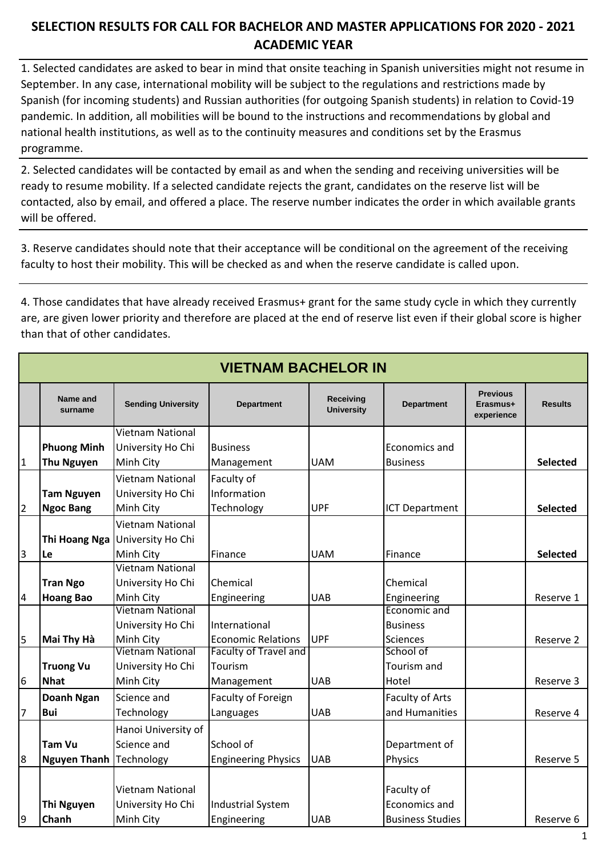## **SELECTION RESULTS FOR CALL FOR BACHELOR AND MASTER APPLICATIONS FOR 2020 - 2021 ACADEMIC YEAR**

1. Selected candidates are asked to bear in mind that onsite teaching in Spanish universities might not resume in September. In any case, international mobility will be subject to the regulations and restrictions made by Spanish (for incoming students) and Russian authorities (for outgoing Spanish students) in relation to Covid-19 pandemic. In addition, all mobilities will be bound to the instructions and recommendations by global and national health institutions, as well as to the continuity measures and conditions set by the Erasmus programme.

2. Selected candidates will be contacted by email as and when the sending and receiving universities will be ready to resume mobility. If a selected candidate rejects the grant, candidates on the reserve list will be contacted, also by email, and offered a place. The reserve number indicates the order in which available grants will be offered.

3. Reserve candidates should note that their acceptance will be conditional on the agreement of the receiving faculty to host their mobility. This will be checked as and when the reserve candidate is called upon.

4. Those candidates that have already received Erasmus+ grant for the same study cycle in which they currently are, are given lower priority and therefore are placed at the end of reserve list even if their global score is higher than that of other candidates.

| <b>VIETNAM BACHELOR IN</b> |                     |                                       |                              |                                       |                             |                                           |                 |  |
|----------------------------|---------------------|---------------------------------------|------------------------------|---------------------------------------|-----------------------------|-------------------------------------------|-----------------|--|
|                            | Name and<br>surname | <b>Sending University</b>             | <b>Department</b>            | <b>Receiving</b><br><b>University</b> | <b>Department</b>           | <b>Previous</b><br>Erasmus+<br>experience | <b>Results</b>  |  |
|                            |                     | Vietnam National                      |                              |                                       |                             |                                           |                 |  |
|                            | <b>Phuong Minh</b>  | University Ho Chi                     | <b>Business</b>              |                                       | Economics and               |                                           |                 |  |
| $\overline{1}$             | <b>Thu Nguyen</b>   | Minh City                             | Management                   | <b>UAM</b>                            | <b>Business</b>             |                                           | Selected        |  |
|                            |                     | Vietnam National                      | Faculty of                   |                                       |                             |                                           |                 |  |
|                            | <b>Tam Nguyen</b>   | University Ho Chi                     | Information                  |                                       |                             |                                           |                 |  |
| $\overline{2}$             | <b>Ngoc Bang</b>    | Minh City                             | Technology                   | <b>UPF</b>                            | <b>ICT Department</b>       |                                           | <b>Selected</b> |  |
|                            |                     | Vietnam National                      |                              |                                       |                             |                                           |                 |  |
|                            | Thi Hoang Nga       | University Ho Chi                     |                              |                                       |                             |                                           |                 |  |
| $\overline{3}$             | Le                  | Minh City                             | Finance                      | <b>UAM</b>                            | Finance                     |                                           | <b>Selected</b> |  |
|                            |                     | Vietnam National                      |                              |                                       |                             |                                           |                 |  |
|                            | <b>Tran Ngo</b>     | University Ho Chi                     | Chemical                     |                                       | Chemical                    |                                           |                 |  |
| $\overline{a}$             | <b>Hoang Bao</b>    | Minh City                             | Engineering                  | <b>UAB</b>                            | Engineering                 |                                           | Reserve 1       |  |
|                            |                     | Vietnam National                      |                              |                                       | Economic and                |                                           |                 |  |
|                            |                     | University Ho Chi                     | International                |                                       | <b>Business</b>             |                                           |                 |  |
| 5                          | Mai Thy Hà          | Minh City                             | <b>Economic Relations</b>    | <b>UPF</b>                            | <b>Sciences</b>             |                                           | Reserve 2       |  |
|                            |                     | Vietnam National                      | <b>Faculty of Travel and</b> |                                       | School of                   |                                           |                 |  |
|                            | <b>Truong Vu</b>    | University Ho Chi                     | Tourism                      |                                       | Tourism and                 |                                           |                 |  |
| 6                          | <b>Nhat</b>         | Minh City                             | Management                   | <b>UAB</b>                            | Hotel                       |                                           | Reserve 3       |  |
|                            | <b>Doanh Ngan</b>   | Science and                           | Faculty of Foreign           |                                       | <b>Faculty of Arts</b>      |                                           |                 |  |
| 7                          | <b>Bui</b>          | Technology                            | Languages                    | <b>UAB</b>                            | and Humanities              |                                           | Reserve 4       |  |
|                            |                     | Hanoi University of                   |                              |                                       |                             |                                           |                 |  |
|                            | <b>Tam Vu</b>       | Science and                           | School of                    |                                       | Department of               |                                           |                 |  |
| 8                          | <b>Nguyen Thanh</b> | Technology                            | <b>Engineering Physics</b>   | <b>UAB</b>                            | Physics                     |                                           | Reserve 5       |  |
|                            | <b>Thi Nguyen</b>   | Vietnam National<br>University Ho Chi | <b>Industrial System</b>     |                                       | Faculty of<br>Economics and |                                           |                 |  |
| 9                          | Chanh               | Minh City                             | Engineering                  | <b>UAB</b>                            | <b>Business Studies</b>     |                                           | Reserve 6       |  |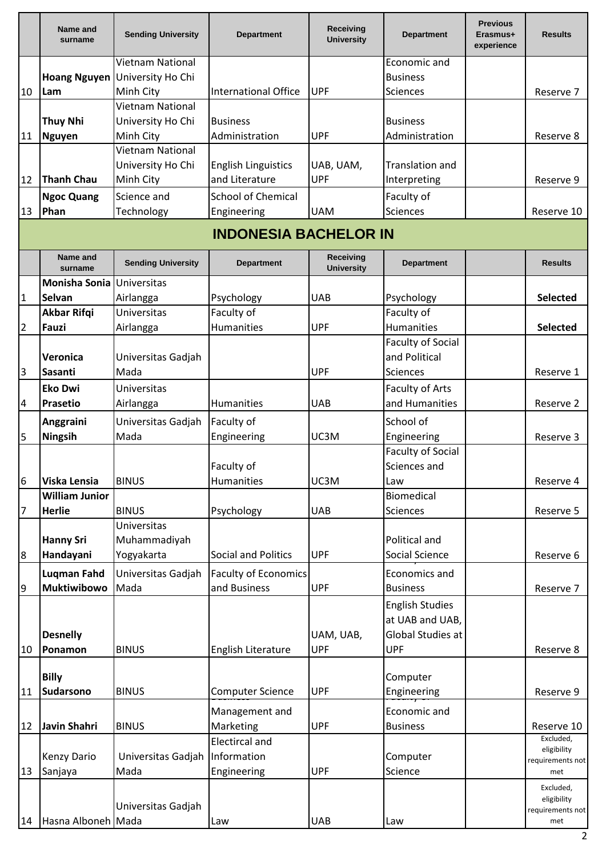|                | Name and<br>surname   | <b>Sending University</b> | <b>Department</b>            | Receiving<br><b>University</b> | <b>Department</b>        | <b>Previous</b><br>Erasmus+<br>experience | <b>Results</b>                  |
|----------------|-----------------------|---------------------------|------------------------------|--------------------------------|--------------------------|-------------------------------------------|---------------------------------|
|                |                       | <b>Vietnam National</b>   |                              |                                | Economic and             |                                           |                                 |
|                | <b>Hoang Nguyen</b>   | University Ho Chi         |                              |                                | <b>Business</b>          |                                           |                                 |
| 10             | Lam                   | Minh City                 | <b>International Office</b>  | <b>UPF</b>                     | <b>Sciences</b>          |                                           | Reserve 7                       |
|                |                       | Vietnam National          |                              |                                |                          |                                           |                                 |
|                | <b>Thuy Nhi</b>       | University Ho Chi         | <b>Business</b>              |                                | <b>Business</b>          |                                           |                                 |
| 11             | <b>Nguyen</b>         | Minh City                 | Administration               | <b>UPF</b>                     | Administration           |                                           | Reserve 8                       |
|                |                       | <b>Vietnam National</b>   |                              |                                |                          |                                           |                                 |
|                |                       | University Ho Chi         | <b>English Linguistics</b>   | UAB, UAM,                      | <b>Translation and</b>   |                                           |                                 |
| 12             | <b>Thanh Chau</b>     | Minh City                 | and Literature               | <b>UPF</b>                     | Interpreting             |                                           | Reserve 9                       |
|                | <b>Ngoc Quang</b>     | Science and               | <b>School of Chemical</b>    |                                | Faculty of               |                                           |                                 |
| 13             | Phan                  | Technology                | Engineering                  | <b>UAM</b>                     | <b>Sciences</b>          |                                           | Reserve 10                      |
|                |                       |                           | <b>INDONESIA BACHELOR IN</b> |                                |                          |                                           |                                 |
|                | Name and<br>surname   | <b>Sending University</b> | <b>Department</b>            | Receiving<br><b>University</b> | <b>Department</b>        |                                           | <b>Results</b>                  |
|                | <b>Monisha Sonia</b>  | Universitas               |                              |                                |                          |                                           |                                 |
| $\mathbf{1}$   | <b>Selvan</b>         | Airlangga                 | Psychology                   | <b>UAB</b>                     | Psychology               |                                           | <b>Selected</b>                 |
|                | <b>Akbar Rifqi</b>    | <b>Universitas</b>        | Faculty of                   |                                | Faculty of               |                                           |                                 |
| $\overline{2}$ | Fauzi                 | Airlangga                 | <b>Humanities</b>            | <b>UPF</b>                     | <b>Humanities</b>        |                                           | <b>Selected</b>                 |
|                |                       |                           |                              |                                | <b>Faculty of Social</b> |                                           |                                 |
|                | Veronica              | Universitas Gadjah        |                              |                                | and Political            |                                           |                                 |
| 3              | Sasanti               | Mada                      |                              | <b>UPF</b>                     | <b>Sciences</b>          |                                           | Reserve 1                       |
|                | <b>Eko Dwi</b>        | <b>Universitas</b>        |                              |                                | Faculty of Arts          |                                           |                                 |
| $\overline{a}$ | <b>Prasetio</b>       | Airlangga                 | Humanities                   | <b>UAB</b>                     | and Humanities           |                                           | Reserve 2                       |
|                | Anggraini             | Universitas Gadjah        | Faculty of                   |                                | School of                |                                           |                                 |
| 5              | Ningsih               | Mada                      | Engineering                  | UC3M                           | Engineering              |                                           | Reserve 3                       |
|                |                       |                           |                              |                                | <b>Faculty of Social</b> |                                           |                                 |
|                |                       |                           | Faculty of                   |                                | Sciences and             |                                           |                                 |
| 6              | Viska Lensia          | <b>BINUS</b>              | Humanities                   | UC3M                           | Law                      |                                           | Reserve 4                       |
|                | <b>William Junior</b> |                           |                              |                                | Biomedical               |                                           |                                 |
| 7              | <b>Herlie</b>         | <b>BINUS</b>              | Psychology                   | <b>UAB</b>                     | <b>Sciences</b>          |                                           | Reserve 5                       |
|                |                       | <b>Universitas</b>        |                              |                                |                          |                                           |                                 |
|                | <b>Hanny Sri</b>      | Muhammadiyah              |                              |                                | Political and            |                                           |                                 |
| 8              | Handayani             | Yogyakarta                | Social and Politics          | <b>UPF</b>                     | Social Science           |                                           | Reserve 6                       |
|                | <b>Luqman Fahd</b>    | Universitas Gadjah        | <b>Faculty of Economics</b>  |                                | Economics and            |                                           |                                 |
| 9              | Muktiwibowo           | Mada                      | and Business                 | <b>UPF</b>                     | <b>Business</b>          |                                           | Reserve 7                       |
|                |                       |                           |                              |                                | <b>English Studies</b>   |                                           |                                 |
|                |                       |                           |                              |                                | at UAB and UAB,          |                                           |                                 |
|                | <b>Desnelly</b>       |                           |                              | UAM, UAB,                      | Global Studies at        |                                           |                                 |
| 10             | Ponamon               | <b>BINUS</b>              | English Literature           | <b>UPF</b>                     | <b>UPF</b>               |                                           | Reserve 8                       |
|                |                       |                           |                              |                                |                          |                                           |                                 |
|                | <b>Billy</b>          |                           |                              |                                | Computer                 |                                           |                                 |
| 11             | <b>Sudarsono</b>      | <b>BINUS</b>              | <b>Computer Science</b>      | <b>UPF</b>                     | Engineering              |                                           | Reserve 9                       |
|                |                       |                           | Management and               |                                | Economic and             |                                           |                                 |
| 12             | Javin Shahri          | <b>BINUS</b>              | Marketing                    | <b>UPF</b>                     | <b>Business</b>          |                                           | Reserve 10                      |
|                |                       |                           | <b>Electircal and</b>        |                                |                          |                                           | Excluded,                       |
|                | <b>Kenzy Dario</b>    | Universitas Gadjah        | Information                  |                                | Computer                 |                                           | eligibility<br>requirements not |
| 13             | Sanjaya               | Mada                      | Engineering                  | <b>UPF</b>                     | Science                  |                                           | met                             |
|                |                       |                           |                              |                                |                          |                                           | Excluded,                       |
|                |                       | Universitas Gadjah        |                              |                                |                          |                                           | eligibility                     |
| 14             | Hasna Alboneh Mada    |                           | Law                          | <b>UAB</b>                     | Law                      |                                           | requirements not<br>met         |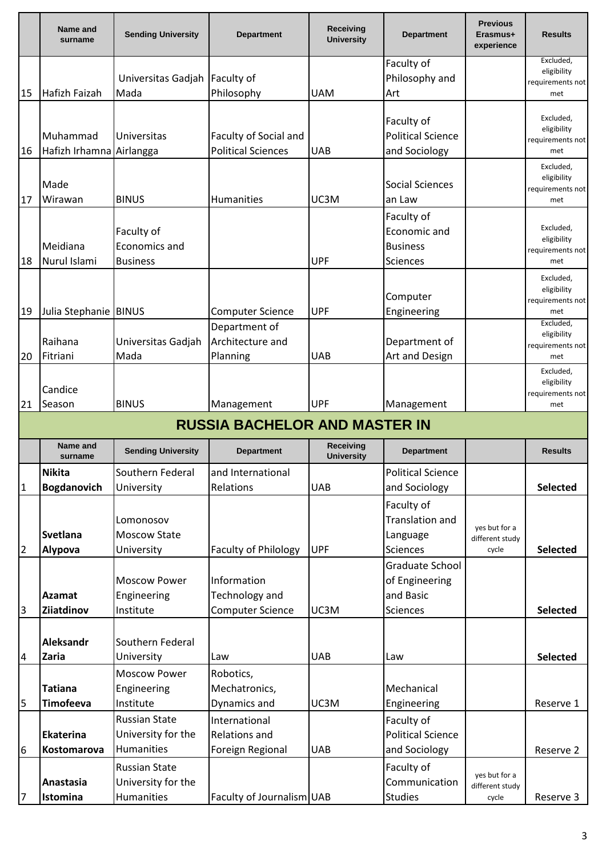|                | Name and<br>surname                  | <b>Sending University</b>        | <b>Department</b>           | Receiving<br><b>University</b> | <b>Department</b>               | <b>Previous</b><br>Erasmus+<br>experience | <b>Results</b>           |  |  |
|----------------|--------------------------------------|----------------------------------|-----------------------------|--------------------------------|---------------------------------|-------------------------------------------|--------------------------|--|--|
|                |                                      |                                  |                             |                                | Faculty of                      |                                           | Excluded,<br>eligibility |  |  |
|                |                                      | Universitas Gadjah               | Faculty of                  |                                | Philosophy and                  |                                           | requirements not         |  |  |
| 15             | Hafizh Faizah                        | Mada                             | Philosophy                  | <b>UAM</b>                     | Art                             |                                           | met                      |  |  |
|                |                                      |                                  |                             |                                |                                 |                                           | Excluded,                |  |  |
|                |                                      |                                  |                             |                                | Faculty of                      |                                           | eligibility              |  |  |
|                | Muhammad                             | <b>Universitas</b>               | Faculty of Social and       |                                | <b>Political Science</b>        |                                           | requirements not         |  |  |
| 16             | Hafizh Irhamna                       | Airlangga                        | <b>Political Sciences</b>   | <b>UAB</b>                     | and Sociology                   |                                           | met                      |  |  |
|                |                                      |                                  |                             |                                |                                 |                                           | Excluded,<br>eligibility |  |  |
|                | Made                                 |                                  |                             |                                | <b>Social Sciences</b>          |                                           | requirements not         |  |  |
| 17             | Wirawan                              | <b>BINUS</b>                     | Humanities                  | UC3M                           | an Law                          |                                           | met                      |  |  |
|                |                                      |                                  |                             |                                | Faculty of                      |                                           |                          |  |  |
|                |                                      | Faculty of                       |                             |                                | Economic and                    |                                           | Excluded,<br>eligibility |  |  |
|                | Meidiana                             | Economics and                    |                             |                                | <b>Business</b>                 |                                           | requirements not         |  |  |
| 18             | Nurul Islami                         | <b>Business</b>                  |                             | <b>UPF</b>                     | Sciences                        |                                           | met                      |  |  |
|                |                                      |                                  |                             |                                |                                 |                                           | Excluded,                |  |  |
|                |                                      |                                  |                             |                                | Computer                        |                                           | eligibility              |  |  |
| 19             | Julia Stephanie BINUS                |                                  | <b>Computer Science</b>     | <b>UPF</b>                     | Engineering                     |                                           | requirements not<br>met  |  |  |
|                |                                      |                                  | Department of               |                                |                                 |                                           | Excluded,                |  |  |
|                | Raihana                              | Universitas Gadjah               | Architecture and            |                                | Department of                   |                                           | eligibility              |  |  |
| 20             | Fitriani                             | Mada                             | Planning                    | <b>UAB</b>                     | Art and Design                  |                                           | requirements not<br>met  |  |  |
|                |                                      |                                  |                             |                                |                                 |                                           | Excluded,                |  |  |
|                | Candice                              |                                  |                             |                                |                                 |                                           | eligibility              |  |  |
| 21             | Season                               | <b>BINUS</b>                     | Management                  | <b>UPF</b>                     | Management                      |                                           | requirements not<br>met  |  |  |
|                | <b>RUSSIA BACHELOR AND MASTER IN</b> |                                  |                             |                                |                                 |                                           |                          |  |  |
|                | Name and<br>surname                  | <b>Sending University</b>        | <b>Department</b>           | Receiving<br><b>University</b> | <b>Department</b>               |                                           | <b>Results</b>           |  |  |
|                | <b>Nikita</b>                        | Southern Federal                 | and International           |                                | <b>Political Science</b>        |                                           |                          |  |  |
| $\mathbf{1}$   | <b>Bogdanovich</b>                   | University                       | Relations                   | <b>UAB</b>                     | and Sociology                   |                                           | <b>Selected</b>          |  |  |
|                |                                      |                                  |                             |                                | Faculty of                      |                                           |                          |  |  |
|                |                                      | Lomonosov                        |                             |                                | Translation and                 |                                           |                          |  |  |
|                | <b>Svetlana</b>                      | <b>Moscow State</b>              |                             |                                | Language                        | yes but for a<br>different study          |                          |  |  |
| 2              | Alypova                              | University                       | <b>Faculty of Philology</b> | <b>UPF</b>                     | <b>Sciences</b>                 | cycle                                     | <b>Selected</b>          |  |  |
|                |                                      |                                  |                             |                                | Graduate School                 |                                           |                          |  |  |
|                |                                      | <b>Moscow Power</b>              | Information                 |                                | of Engineering                  |                                           |                          |  |  |
|                | <b>Azamat</b>                        | Engineering                      | Technology and              |                                | and Basic                       |                                           |                          |  |  |
| 3              | Ziiatdinov                           | Institute                        | <b>Computer Science</b>     | UC3M                           | <b>Sciences</b>                 |                                           | <b>Selected</b>          |  |  |
|                |                                      |                                  |                             |                                |                                 |                                           |                          |  |  |
|                | Aleksandr                            | Southern Federal                 |                             |                                |                                 |                                           |                          |  |  |
| $\overline{a}$ |                                      |                                  |                             |                                |                                 |                                           |                          |  |  |
|                | <b>Zaria</b>                         | University                       | Law                         | <b>UAB</b>                     | Law                             |                                           | Selected                 |  |  |
|                |                                      | <b>Moscow Power</b>              | Robotics,                   |                                |                                 |                                           |                          |  |  |
|                | <b>Tatiana</b>                       | Engineering                      | Mechatronics,               |                                | Mechanical                      |                                           |                          |  |  |
| 5              | <b>Timofeeva</b>                     | Institute                        | Dynamics and                | UC3M                           | Engineering                     |                                           | Reserve 1                |  |  |
|                |                                      | <b>Russian State</b>             | International               |                                | Faculty of                      |                                           |                          |  |  |
|                | Ekaterina                            | University for the               | Relations and               |                                | <b>Political Science</b>        |                                           |                          |  |  |
| 6              | Kostomarova                          | Humanities                       | Foreign Regional            | <b>UAB</b>                     | and Sociology                   |                                           | Reserve 2                |  |  |
|                |                                      |                                  |                             |                                |                                 |                                           |                          |  |  |
|                | Anastasia                            | <b>Russian State</b>             |                             |                                | Faculty of                      | yes but for a                             |                          |  |  |
| 7              | Istomina                             | University for the<br>Humanities | Faculty of Journalism UAB   |                                | Communication<br><b>Studies</b> | different study<br>cycle                  | Reserve 3                |  |  |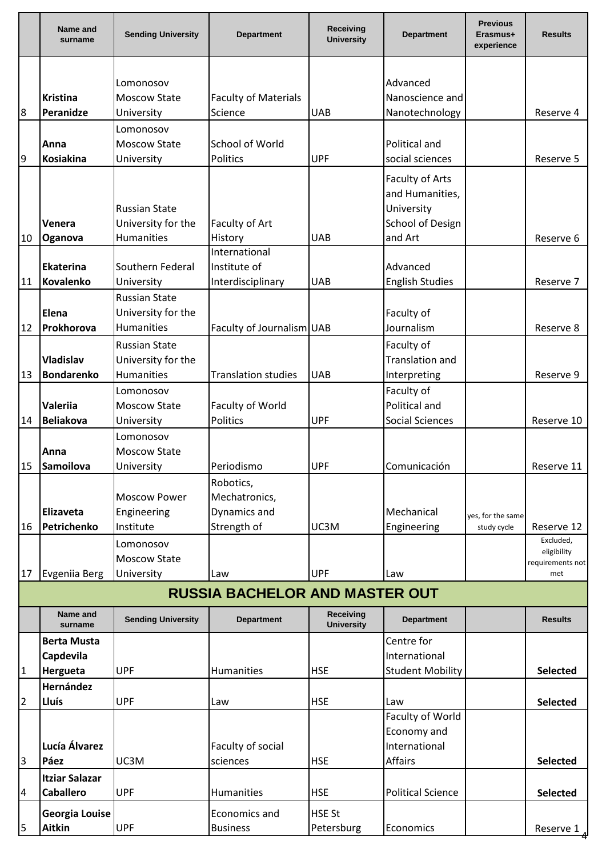|              | Name and<br>surname           | <b>Sending University</b>                  | <b>Department</b>                     | <b>Receiving</b><br><b>University</b> | <b>Department</b>                                                    | <b>Previous</b><br>Erasmus+<br>experience | <b>Results</b>          |
|--------------|-------------------------------|--------------------------------------------|---------------------------------------|---------------------------------------|----------------------------------------------------------------------|-------------------------------------------|-------------------------|
|              |                               |                                            |                                       |                                       |                                                                      |                                           |                         |
|              |                               | Lomonosov                                  |                                       |                                       | Advanced                                                             |                                           |                         |
|              | <b>Kristina</b>               | <b>Moscow State</b>                        | <b>Faculty of Materials</b>           |                                       | Nanoscience and                                                      |                                           |                         |
| 8            | Peranidze                     | University                                 | Science                               | <b>UAB</b>                            | Nanotechnology                                                       |                                           | Reserve 4               |
|              |                               | Lomonosov                                  |                                       |                                       |                                                                      |                                           |                         |
|              | Anna                          | <b>Moscow State</b>                        | School of World                       |                                       | Political and                                                        |                                           |                         |
| 9            | Kosiakina                     | University                                 | Politics                              | <b>UPF</b>                            | social sciences                                                      |                                           | Reserve 5               |
|              | Venera                        | <b>Russian State</b><br>University for the | Faculty of Art                        |                                       | Faculty of Arts<br>and Humanities,<br>University<br>School of Design |                                           |                         |
| 10           | Oganova                       | Humanities                                 | History                               | <b>UAB</b>                            | and Art                                                              |                                           | Reserve 6               |
|              |                               |                                            | International                         |                                       |                                                                      |                                           |                         |
|              | Ekaterina<br><b>Kovalenko</b> | Southern Federal                           | Institute of                          | <b>UAB</b>                            | Advanced                                                             |                                           |                         |
| 11           |                               | University<br><b>Russian State</b>         | Interdisciplinary                     |                                       | <b>English Studies</b>                                               |                                           | Reserve 7               |
|              | Elena                         | University for the                         |                                       |                                       | Faculty of                                                           |                                           |                         |
| 12           | Prokhorova                    | <b>Humanities</b>                          |                                       |                                       | Journalism                                                           |                                           |                         |
|              |                               |                                            | Faculty of Journalism UAB             |                                       |                                                                      |                                           | Reserve 8               |
|              |                               | <b>Russian State</b>                       |                                       |                                       | Faculty of                                                           |                                           |                         |
|              | <b>Vladislav</b>              | University for the                         |                                       |                                       | <b>Translation and</b>                                               |                                           |                         |
| 13           | Bondarenko                    | Humanities                                 | <b>Translation studies</b>            | <b>UAB</b>                            | Interpreting                                                         |                                           | Reserve 9               |
|              | Valeriia                      | Lomonosov<br><b>Moscow State</b>           |                                       |                                       | Faculty of<br>Political and                                          |                                           |                         |
| 14           | <b>Beliakova</b>              |                                            | Faculty of World<br>Politics          | <b>UPF</b>                            | <b>Social Sciences</b>                                               |                                           | Reserve 10              |
|              |                               | University                                 |                                       |                                       |                                                                      |                                           |                         |
|              | <b>Anna</b>                   | Lomonosov<br><b>Moscow State</b>           |                                       |                                       |                                                                      |                                           |                         |
| 15           | Samoilova                     | University                                 | Periodismo                            | <b>UPF</b>                            | Comunicación                                                         |                                           | Reserve 11              |
|              |                               |                                            | Robotics,                             |                                       |                                                                      |                                           |                         |
|              |                               | <b>Moscow Power</b>                        | Mechatronics,                         |                                       |                                                                      |                                           |                         |
|              | Elizaveta                     | Engineering                                | Dynamics and                          |                                       | Mechanical                                                           |                                           |                         |
| 16           | Petrichenko                   | Institute                                  | Strength of                           | UC3M                                  | Engineering                                                          | yes, for the same<br>study cycle          | Reserve 12              |
|              |                               | Lomonosov                                  |                                       |                                       |                                                                      |                                           | Excluded,               |
|              |                               | <b>Moscow State</b>                        |                                       |                                       |                                                                      |                                           | eligibility             |
| 17           | Evgeniia Berg                 | University                                 | Law                                   | <b>UPF</b>                            | Law                                                                  |                                           | requirements not<br>met |
|              |                               |                                            | <b>RUSSIA BACHELOR AND MASTER OUT</b> |                                       |                                                                      |                                           |                         |
|              | Name and<br>surname           | <b>Sending University</b>                  | <b>Department</b>                     | Receiving<br><b>University</b>        | <b>Department</b>                                                    |                                           | <b>Results</b>          |
|              | <b>Berta Musta</b>            |                                            |                                       |                                       | Centre for                                                           |                                           |                         |
|              | Capdevila                     |                                            |                                       |                                       | International                                                        |                                           |                         |
| $\mathbf{1}$ | Hergueta                      | <b>UPF</b>                                 | Humanities                            | <b>HSE</b>                            | <b>Student Mobility</b>                                              |                                           | <b>Selected</b>         |
|              | Hernández                     |                                            |                                       |                                       |                                                                      |                                           |                         |
| 2            | Lluís                         | <b>UPF</b>                                 | Law                                   | <b>HSE</b>                            | Law                                                                  |                                           | <b>Selected</b>         |
|              |                               |                                            |                                       |                                       | Faculty of World<br>Economy and                                      |                                           |                         |
|              | Lucía Álvarez                 |                                            | Faculty of social                     |                                       | International                                                        |                                           |                         |
| 3            | Páez                          | UC3M                                       | sciences                              | <b>HSE</b>                            | Affairs                                                              |                                           | <b>Selected</b>         |
|              | <b>Itziar Salazar</b>         |                                            |                                       |                                       |                                                                      |                                           |                         |
| 4            | <b>Caballero</b>              | <b>UPF</b>                                 | Humanities                            | <b>HSE</b>                            | <b>Political Science</b>                                             |                                           | Selected                |
|              | Georgia Louise                |                                            | Economics and                         | <b>HSE St</b>                         |                                                                      |                                           |                         |
| 5            | <b>Aitkin</b>                 | <b>UPF</b>                                 | <b>Business</b>                       | Petersburg                            | Economics                                                            |                                           | Reserve 1               |
|              |                               |                                            |                                       |                                       |                                                                      |                                           |                         |